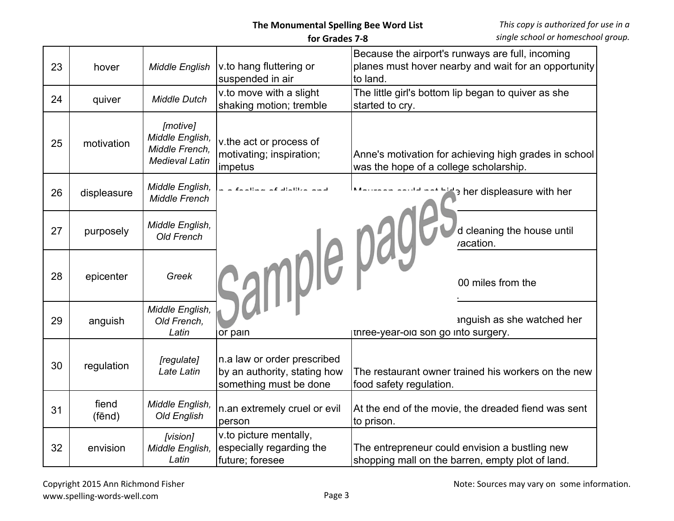## **The Monumental Spelling Bee Word List for Grades 7-8**

| 23 | hover           | <b>Middle English</b>                                                  | v to hang fluttering or<br>suspended in air                                           | Because the airport's runways are full, incoming<br>planes must hover nearby and wait for an opportunity<br>to land. |
|----|-----------------|------------------------------------------------------------------------|---------------------------------------------------------------------------------------|----------------------------------------------------------------------------------------------------------------------|
| 24 | quiver          | <b>Middle Dutch</b>                                                    | v.to move with a slight<br>shaking motion; tremble                                    | The little girl's bottom lip began to quiver as she<br>started to cry.                                               |
| 25 | motivation      | [motive]<br>Middle English,<br>Middle French,<br><b>Medieval Latin</b> | v.the act or process of<br>motivating; inspiration;<br>impetus                        | Anne's motivation for achieving high grades in school<br>was the hope of a college scholarship.                      |
| 26 | displeasure     | Middle English,<br><b>Middle French</b>                                | المسما سنائله للماله المستلمسة المرسأ                                                 | her displeasure with her                                                                                             |
| 27 | purposely       | Middle English,<br><b>Old French</b>                                   |                                                                                       | d cleaning the house until<br>vacation.                                                                              |
| 28 | epicenter       | Greek                                                                  | Sample pages.                                                                         | 00 miles from the                                                                                                    |
| 29 | anguish         | Middle English,<br>Old French,<br>Latin                                | jor pain                                                                              | anguish as she watched her<br>unree-year-oid son go into surgery.                                                    |
| 30 | regulation      | [regulate]<br>Late Latin                                               | n.a law or order prescribed<br>by an authority, stating how<br>something must be done | The restaurant owner trained his workers on the new<br>food safety regulation.                                       |
| 31 | fiend<br>(fēnd) | Middle English,<br>Old English                                         | n.an extremely cruel or evil<br>person                                                | At the end of the movie, the dreaded fiend was sent<br>to prison.                                                    |
| 32 | envision        | [vision]<br>Middle English,<br>Latin                                   | v.to picture mentally,<br>especially regarding the<br>future; foresee                 | The entrepreneur could envision a bustling new<br>shopping mall on the barren, empty plot of land.                   |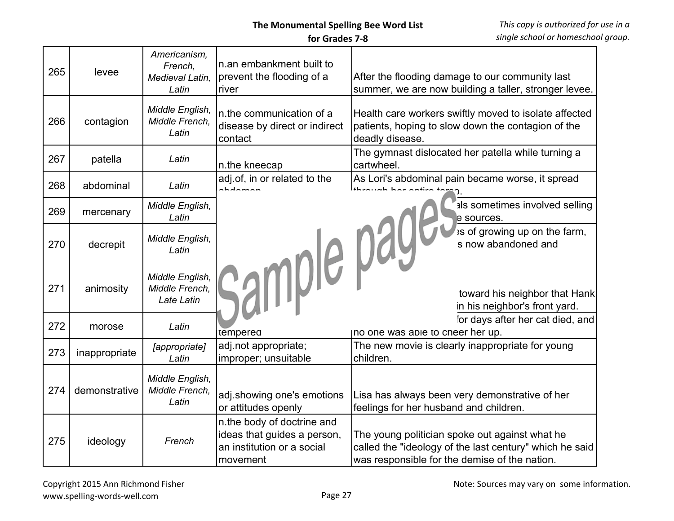## **The Monumental Spelling Bee Word List**

## **for Grades 7-8**

| 265 | levee         | Americanism,<br>French,<br>Medieval Latin,<br>Latin | n.an embankment built to<br>prevent the flooding of a<br>river                                      | After the flooding damage to our community last<br>summer, we are now building a taller, stronger levee.                                                   |
|-----|---------------|-----------------------------------------------------|-----------------------------------------------------------------------------------------------------|------------------------------------------------------------------------------------------------------------------------------------------------------------|
| 266 | contagion     | Middle English,<br>Middle French,<br>Latin          | n.the communication of a<br>disease by direct or indirect<br>contact                                | Health care workers swiftly moved to isolate affected<br>patients, hoping to slow down the contagion of the<br>deadly disease.                             |
| 267 | patella       | Latin                                               | n.the kneecap                                                                                       | The gymnast dislocated her patella while turning a<br>cartwheel.                                                                                           |
| 268 | abdominal     | Latin                                               | adj.of, in or related to the                                                                        | As Lori's abdominal pain became worse, it spread                                                                                                           |
| 269 | mercenary     | Middle English,<br>Latin                            |                                                                                                     | als sometimes involved selling<br>e sources.                                                                                                               |
| 270 | decrepit      | Middle English,<br>Latin                            |                                                                                                     | is of growing up on the farm,<br>s now abandoned and                                                                                                       |
| 271 | animosity     | Middle English,<br>Middle French,<br>Late Latin     | sample pay                                                                                          | toward his neighbor that Hank<br>in his neighbor's front yard.                                                                                             |
| 272 | morose        | Latin                                               | <b>uemperea</b>                                                                                     | or days after her cat died, and<br>Ino one was apie to cneer her up.                                                                                       |
| 273 | inappropriate | [appropriate]<br>Latin                              | adj.not appropriate;<br>improper; unsuitable                                                        | The new movie is clearly inappropriate for young<br>children.                                                                                              |
| 274 | demonstrative | Middle English,<br>Middle French.<br>Latin          | adj.showing one's emotions<br>or attitudes openly                                                   | Lisa has always been very demonstrative of her<br>feelings for her husband and children.                                                                   |
| 275 | ideology      | French                                              | n.the body of doctrine and<br>ideas that guides a person,<br>an institution or a social<br>movement | The young politician spoke out against what he<br>called the "ideology of the last century" which he said<br>was responsible for the demise of the nation. |